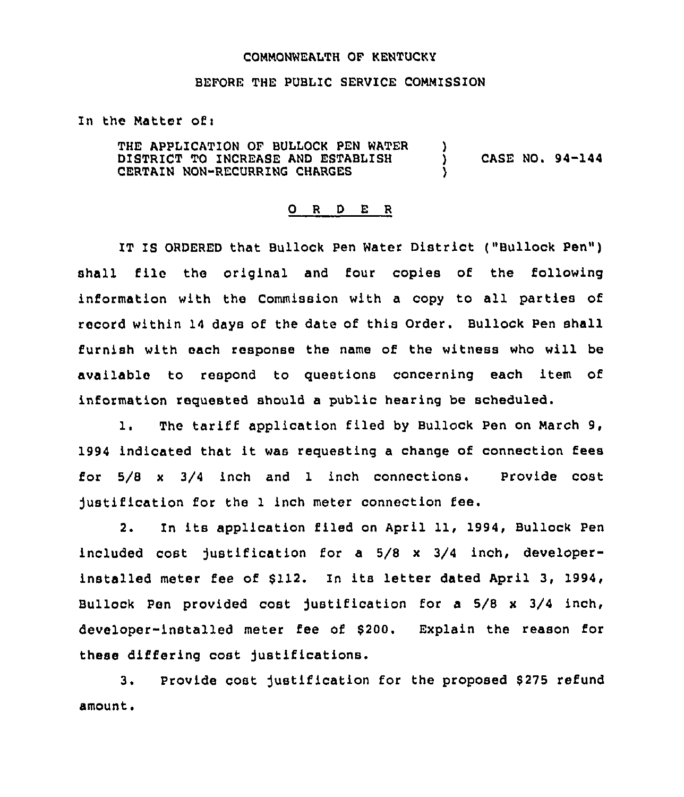## COMMONWEALTH OF KENTUCKY

## BEFORE THE PUBLIC SERVICE COMMISSION

## In the Matter of:

THE APPLICATION OF BULLOCK PEN WATER DISTRICT TO INCREASE AND ESTABLISH CERTAIN NON-RECURRING CHARGES )<br>) ) CASE NO. 94-144  $\lambda$ 

## 0 <sup>R</sup> <sup>D</sup> E <sup>R</sup>

IT IS ORDERED that Bullock Pen Water District ("Bullock Pen") shall file the original and four copies of the following information with the Commission with <sup>a</sup> copy to all parties of record within 14 days of the date of this Order. Bullock Pen shall furnish with each response the name of the witness who will be available to respond to guestions concerning each item of information reguested should a public hearing be scheduled.

1. The tariff application filed by Bullock Pen on March 9, 1994 indicated that it was requesting <sup>a</sup> change of connection fees for 5/8 <sup>x</sup> 3/4 inch and 1 inch connections. Provide cost justification for the <sup>1</sup> inch meter connection fee.

2. In its application filed on April 11, 1994, Bullock Pen included cost justification for a 5/8 x 3/4 inch, developerinstalled meter fee of \$112. In its letter dated April 3, 1994, Bullock Pen provided cost justification for a 5/8 <sup>x</sup> 3/4 inch, developer-installed meter fee of \$200. Explain the reason for these differing cost justifications.

3. Provide cost justification for the proposed \$275 refund amount.